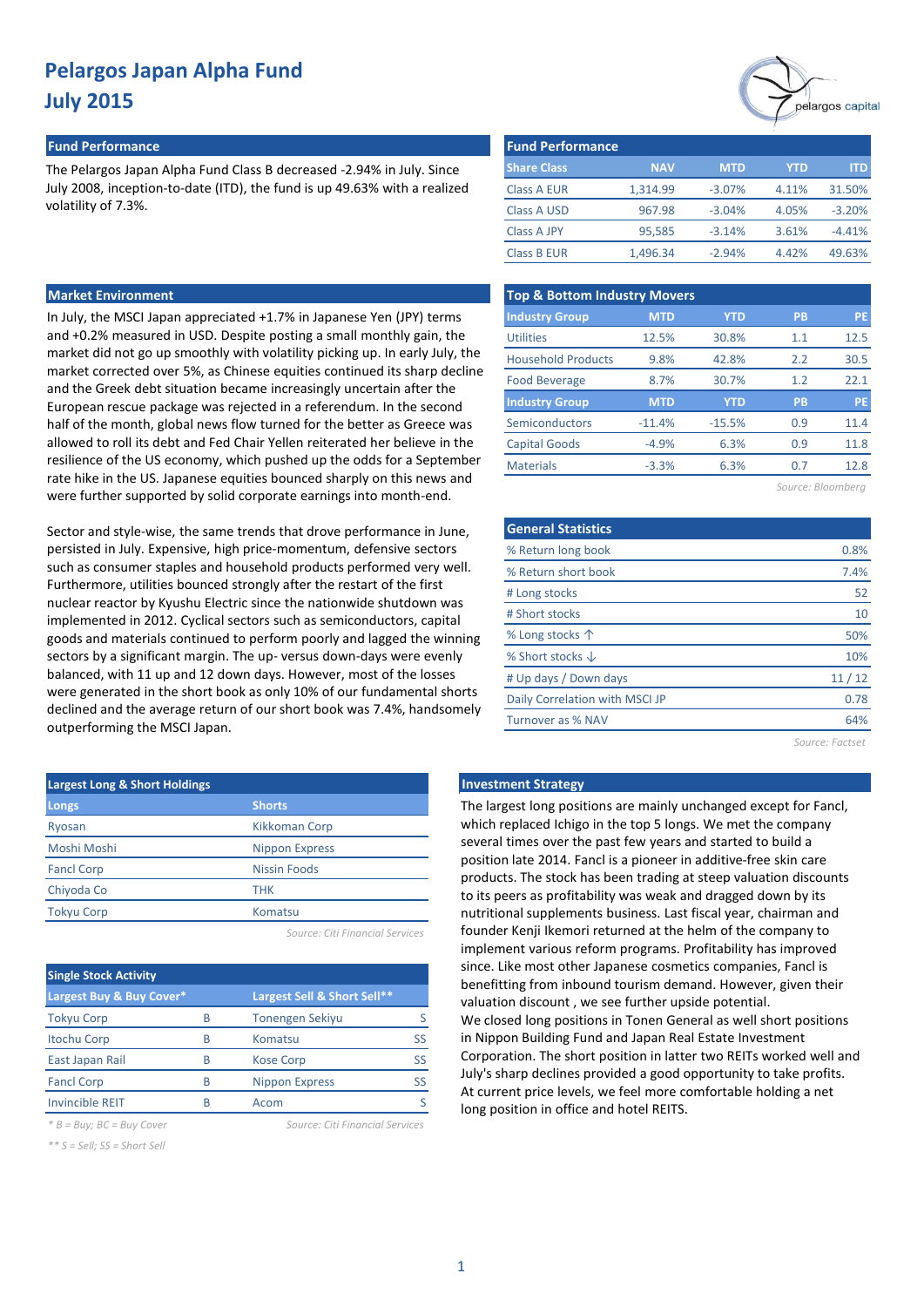#### **Fund Performance Fund Performance**

The Pelargos Japan Alpha Fund Class B decreased -2.94% in July. Since July 2008, inception-to-date (ITD), the fund is up 49.63% with a realized volatility of 7.3%.

### **Market Environment**

In July, the MSCI Japan appreciated +1.7% in Japanese Yen (JPY) terms and +0.2% measured in USD. Despite posting a small monthly gain, the market did not go up smoothly with volatility picking up. In early July, the market corrected over 5%, as Chinese equities continued its sharp decline and the Greek debt situation became increasingly uncertain after the European rescue package was rejected in a referendum. In the second half of the month, global news flow turned for the better as Greece was allowed to roll its debt and Fed Chair Yellen reiterated her believe in the resilience of the US economy, which pushed up the odds for a September rate hike in the US. Japanese equities bounced sharply on this news and were further supported by solid corporate earnings into month-end.

Sector and style-wise, the same trends that drove performance in June, persisted in July. Expensive, high price-momentum, defensive sectors such as consumer staples and household products performed very well. Furthermore, utilities bounced strongly after the restart of the first nuclear reactor by Kyushu Electric since the nationwide shutdown was implemented in 2012. Cyclical sectors such as semiconductors, capital goods and materials continued to perform poorly and lagged the winning sectors by a significant margin. The up- versus down-days were evenly balanced, with 11 up and 12 down days. However, most of the losses were generated in the short book as only 10% of our fundamental shorts declined and the average return of our short book was 7.4%, handsomely outperforming the MSCI Japan.

| <b>Largest Long &amp; Short Holdings</b> |                       |  |  |  |  |  |  |
|------------------------------------------|-----------------------|--|--|--|--|--|--|
| Longs                                    | <b>Shorts</b>         |  |  |  |  |  |  |
| Ryosan                                   | Kikkoman Corp         |  |  |  |  |  |  |
| Moshi Moshi                              | <b>Nippon Express</b> |  |  |  |  |  |  |
| <b>Fancl Corp</b>                        | <b>Nissin Foods</b>   |  |  |  |  |  |  |
| Chiyoda Co                               | <b>THK</b>            |  |  |  |  |  |  |
| <b>Tokyu Corp</b>                        | Komatsu               |  |  |  |  |  |  |
|                                          |                       |  |  |  |  |  |  |

*Source: Citi Financial Services*

| <b>Single Stock Activity</b> |   |                             |    |  |  |  |  |  |  |
|------------------------------|---|-----------------------------|----|--|--|--|--|--|--|
| Largest Buy & Buy Cover*     |   | Largest Sell & Short Sell** |    |  |  |  |  |  |  |
| <b>Tokyu Corp</b>            | R | <b>Tonengen Sekiyu</b>      |    |  |  |  |  |  |  |
| <b>Itochu Corp</b>           | R | Komatsu                     | SS |  |  |  |  |  |  |
| East Japan Rail              | R | <b>Kose Corp</b>            | SS |  |  |  |  |  |  |
| <b>Fancl Corp</b>            | R | <b>Nippon Express</b>       | SS |  |  |  |  |  |  |
| <b>Invincible REIT</b>       | R | Acom                        |    |  |  |  |  |  |  |

*\* B = Buy; BC = Buy Cover Source: Citi Financial Services*

*\*\* S = Sell; SS = Short Sell*

pelargos capital

| <b>Fund Performance</b> |            |            |       |          |  |  |  |  |  |  |
|-------------------------|------------|------------|-------|----------|--|--|--|--|--|--|
| <b>Share Class</b>      | <b>NAV</b> | <b>MTD</b> | YTD   | ITD.     |  |  |  |  |  |  |
| Class A EUR             | 1,314.99   | $-3.07%$   | 4.11% | 31.50%   |  |  |  |  |  |  |
| Class A USD             | 967.98     | $-3.04%$   | 4.05% | $-3.20%$ |  |  |  |  |  |  |
| <b>Class A JPY</b>      | 95,585     | $-3.14%$   | 3.61% | $-4.41%$ |  |  |  |  |  |  |
| <b>Class B EUR</b>      | 1,496.34   | $-2.94%$   | 4.42% | 49.63%   |  |  |  |  |  |  |

| <b>Top &amp; Bottom Industry Movers</b> |            |            |           |           |  |  |  |  |  |  |
|-----------------------------------------|------------|------------|-----------|-----------|--|--|--|--|--|--|
| <b>Industry Group</b>                   | <b>MTD</b> | <b>YTD</b> | <b>PB</b> | <b>PE</b> |  |  |  |  |  |  |
| <b>Utilities</b>                        | 12.5%      | 30.8%      | 1.1       | 12.5      |  |  |  |  |  |  |
| <b>Household Products</b>               | 9.8%       | 42.8%      | 2.2       | 30.5      |  |  |  |  |  |  |
| <b>Food Beverage</b>                    | 8.7%       | 30.7%      | 1.2       | 22.1      |  |  |  |  |  |  |
| <b>Industry Group</b>                   | <b>MTD</b> | <b>YTD</b> | PB        | PE        |  |  |  |  |  |  |
| Semiconductors                          | $-11.4%$   | $-15.5%$   | 0.9       | 11.4      |  |  |  |  |  |  |
| <b>Capital Goods</b>                    | $-4.9%$    | 6.3%       | 0.9       | 11.8      |  |  |  |  |  |  |
| <b>Materials</b>                        | $-3.3%$    | 6.3%       | 0.7       | 12.8      |  |  |  |  |  |  |
|                                         |            |            |           |           |  |  |  |  |  |  |

| Source: Bloomberg |  |  |  |  |  |  |
|-------------------|--|--|--|--|--|--|
|-------------------|--|--|--|--|--|--|

| <b>General Statistics</b>      |       |
|--------------------------------|-------|
| % Return long book             | 0.8%  |
| % Return short book            | 7.4%  |
| # Long stocks                  | 52    |
| # Short stocks                 | 10    |
| % Long stocks $\uparrow$       | 50%   |
| % Short stocks $\downarrow$    | 10%   |
| # Up days / Down days          | 11/12 |
| Daily Correlation with MSCI JP | 0.78  |
| Turnover as % NAV              | 64%   |
|                                |       |

*Source: Factset*

#### **Investment Strategy**

The largest long positions are mainly unchanged except for Fancl, which replaced Ichigo in the top 5 longs. We met the company several times over the past few years and started to build a position late 2014. Fancl is a pioneer in additive-free skin care products. The stock has been trading at steep valuation discounts to its peers as profitability was weak and dragged down by its nutritional supplements business. Last fiscal year, chairman and founder Kenji Ikemori returned at the helm of the company to implement various reform programs. Profitability has improved since. Like most other Japanese cosmetics companies, Fancl is benefitting from inbound tourism demand. However, given their valuation discount , we see further upside potential. We closed long positions in Tonen General as well short positions in Nippon Building Fund and Japan Real Estate Investment Corporation. The short position in latter two REITs worked well and July's sharp declines provided a good opportunity to take profits. At current price levels, we feel more comfortable holding a net long position in office and hotel REITS.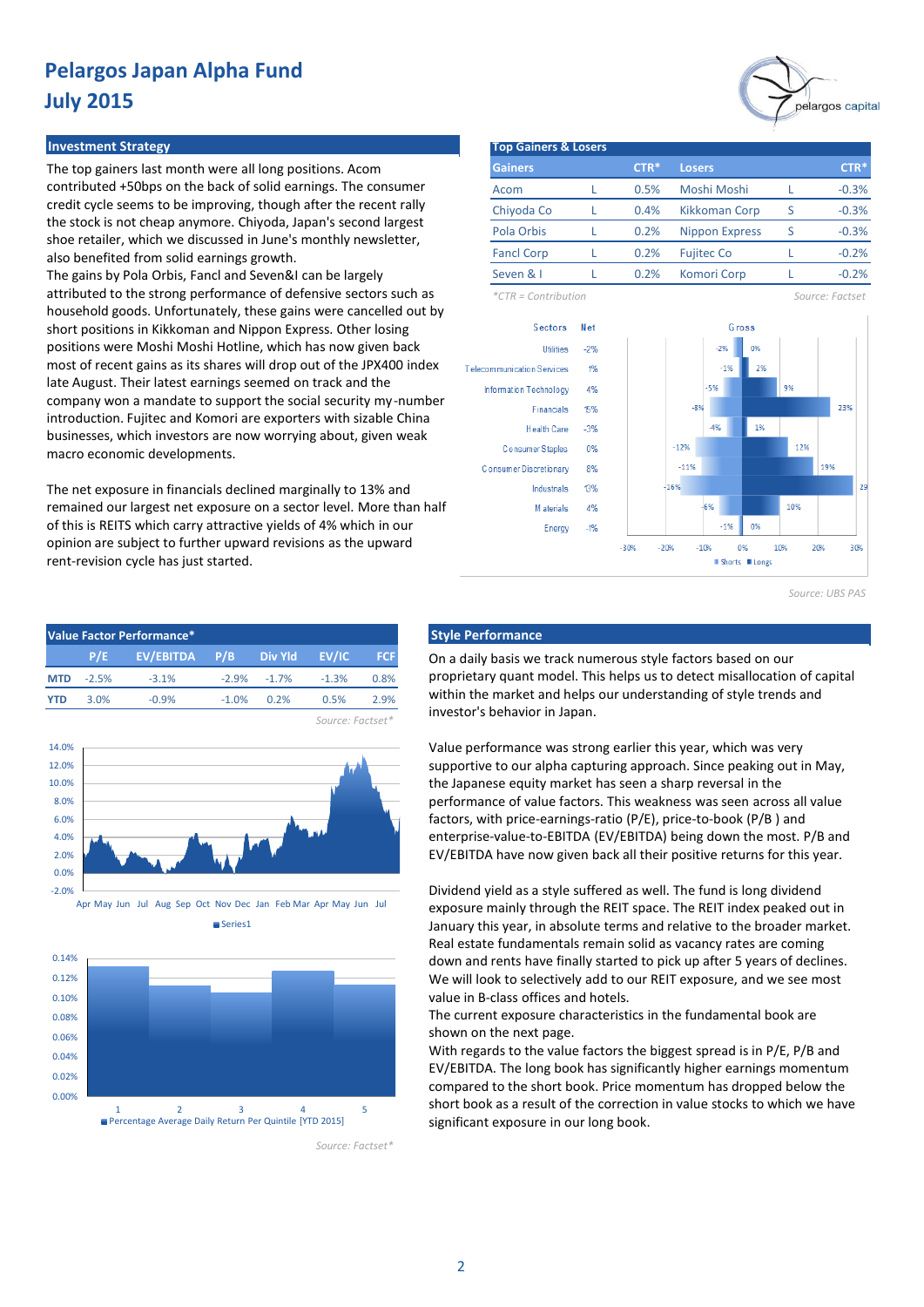#### **Investment Strategy**

The top gainers last month were all long positions. Acom contributed +50bps on the back of solid earnings. The consumer credit cycle seems to be improving, though after the recent rally the stock is not cheap anymore. Chiyoda, Japan's second largest shoe retailer, which we discussed in June's monthly newsletter, also benefited from solid earnings growth.

The gains by Pola Orbis, Fancl and Seven&I can be largely attributed to the strong performance of defensive sectors such as household goods. Unfortunately, these gains were cancelled out by short positions in Kikkoman and Nippon Express. Other losing positions were Moshi Moshi Hotline, which has now given back most of recent gains as its shares will drop out of the JPX400 index late August. Their latest earnings seemed on track and the company won a mandate to support the social security my-number introduction. Fujitec and Komori are exporters with sizable China businesses, which investors are now worrying about, given weak macro economic developments.

The net exposure in financials declined marginally to 13% and remained our largest net exposure on a sector level. More than half of this is REITS which carry attractive yields of 4% which in our opinion are subject to further upward revisions as the upward rent-revision cycle has just started.

| Value Factor Performance* |                  |               |         |                 |         |            |  |  |  |  |
|---------------------------|------------------|---------------|---------|-----------------|---------|------------|--|--|--|--|
|                           | P/E              | EV/EBITDA P/B |         | Div Yld EV/IC   |         | <b>FCF</b> |  |  |  |  |
| <b>MTD</b>                | $-2.5%$          | $-3.1%$       |         | $-2.9\% -1.7\%$ | $-1.3%$ | 0.8%       |  |  |  |  |
| <b>YTD</b>                | 3.0%             | $-0.9%$       | $-1.0%$ | 0.2%            | 0.5%    | 2.9%       |  |  |  |  |
|                           | Source: Factset* |               |         |                 |         |            |  |  |  |  |







*Source: Factset\**

| <b>Top Gainers &amp; Losers</b>                                                                                                                                                                                                      |             |      |                    |                       |       |       |                 |    |
|--------------------------------------------------------------------------------------------------------------------------------------------------------------------------------------------------------------------------------------|-------------|------|--------------------|-----------------------|-------|-------|-----------------|----|
| <b>Gainers</b>                                                                                                                                                                                                                       |             | CTR* | <b>Losers</b>      |                       |       |       | CTR*            |    |
| Acom                                                                                                                                                                                                                                 | L           | 0.5% |                    | Moshi Moshi           |       | L     | $-0.3%$         |    |
| Chiyoda Co                                                                                                                                                                                                                           | L           | 0.4% |                    | <b>Kikkoman Corp</b>  |       | S     | $-0.3%$         |    |
| Pola Orbis                                                                                                                                                                                                                           | L           | 0.2% |                    | <b>Nippon Express</b> |       | S     | $-0.3%$         |    |
| <b>Fancl Corp</b>                                                                                                                                                                                                                    | L           | 0.2% |                    | <b>Fujitec Co</b>     |       | L     | $-0.2%$         |    |
| Seven & I                                                                                                                                                                                                                            | L           | 0.2% | <b>Komori Corp</b> |                       |       | L     | $-0.2%$         |    |
| $*CTR =$ Contribution                                                                                                                                                                                                                |             |      |                    |                       |       |       | Source: Factset |    |
|                                                                                                                                                                                                                                      |             |      |                    |                       |       |       |                 |    |
| <b>Sectors</b>                                                                                                                                                                                                                       | <b>N</b> et |      |                    |                       | Gross |       |                 |    |
| <b>Utilities</b>                                                                                                                                                                                                                     | $-2%$       |      |                    | $-2%$                 | 0%    |       |                 |    |
| Telecommunication Services                                                                                                                                                                                                           | 1%          |      |                    | $-1%$                 | 2%    |       |                 |    |
| Information Technology                                                                                                                                                                                                               | 4%          |      |                    | $-5%$                 |       | 9%    |                 |    |
| <b>Financials</b>                                                                                                                                                                                                                    | 15%         |      | $-8%$              |                       |       |       | 23%             |    |
| <b>Health Care</b>                                                                                                                                                                                                                   | $-3%$       |      |                    | $-4%$                 | 1%    |       |                 |    |
| Consumer Staples                                                                                                                                                                                                                     | 0%          |      | $-12%$             |                       |       | 12%   |                 |    |
| Consumer Discretionary                                                                                                                                                                                                               | 8%          |      | $-11%$             |                       |       |       | 19%             |    |
| <b>Industrials</b>                                                                                                                                                                                                                   | 13%         |      | $+16%$             |                       |       |       |                 | 29 |
| <b>Address of the Contract of the Contract of the Contract of the Contract of the Contract of the Contract of the Contract of the Contract of the Contract of the Contract of The Contract of The Contract of The Contract of Th</b> | 101         |      |                    | cer                   |       | 1 nec |                 |    |

 $-190$ nec

0%

Shorts II Longs

1.0%

 $-10%$ 

*Source: UBS PAS*

 $20%$ 

3.0K

pelargos capital

#### **Style Performance**

Energy

 $-19$ 

 $-30%$ 

 $-20%$ 

On a daily basis we track numerous style factors based on our proprietary quant model. This helps us to detect misallocation of capital within the market and helps our understanding of style trends and investor's behavior in Japan.

Value performance was strong earlier this year, which was very supportive to our alpha capturing approach. Since peaking out in May, the Japanese equity market has seen a sharp reversal in the performance of value factors. This weakness was seen across all value factors, with price-earnings-ratio (P/E), price-to-book (P/B ) and enterprise-value-to-EBITDA (EV/EBITDA) being down the most. P/B and EV/EBITDA have now given back all their positive returns for this year.

Dividend yield as a style suffered as well. The fund is long dividend exposure mainly through the REIT space. The REIT index peaked out in January this year, in absolute terms and relative to the broader market. Real estate fundamentals remain solid as vacancy rates are coming down and rents have finally started to pick up after 5 years of declines. We will look to selectively add to our REIT exposure, and we see most value in B-class offices and hotels.

The current exposure characteristics in the fundamental book are shown on the next page.

With regards to the value factors the biggest spread is in P/E, P/B and EV/EBITDA. The long book has significantly higher earnings momentum compared to the short book. Price momentum has dropped below the short book as a result of the correction in value stocks to which we have significant exposure in our long book.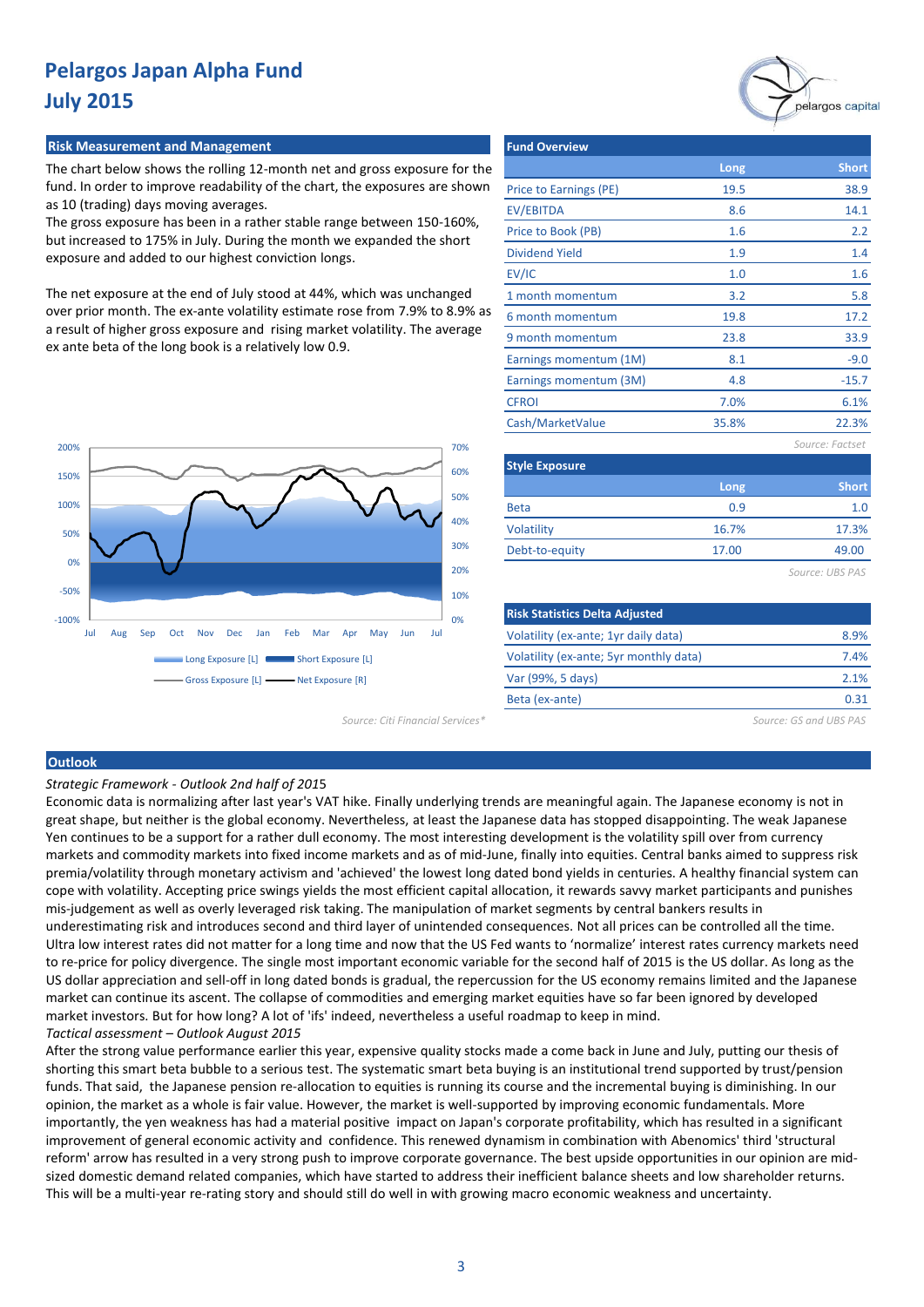#### **Risk Measurement and Management**

The chart below shows the rolling 12-month net and gross exposure for the fund. In order to improve readability of the chart, the exposures are shown as 10 (trading) days moving averages.

The gross exposure has been in a rather stable range between 150-160%, but increased to 175% in July. During the month we expanded the short exposure and added to our highest conviction longs.

The net exposure at the end of July stood at 44%, which was unchanged over prior month. The ex-ante volatility estimate rose from 7.9% to 8.9% as a result of higher gross exposure and rising market volatility. The average ex ante beta of the long book is a relatively low 0.9.



| <b>Fund Overview</b>   |       |                 |
|------------------------|-------|-----------------|
|                        | Long  | <b>Short</b>    |
| Price to Earnings (PE) | 19.5  | 38.9            |
| <b>EV/EBITDA</b>       | 8.6   | 14.1            |
| Price to Book (PB)     | 1.6   | 2.2             |
| <b>Dividend Yield</b>  | 1.9   | 1.4             |
| EV/IC                  | 1.0   | 1.6             |
| 1 month momentum       | 3.2   | 5.8             |
| 6 month momentum       | 19.8  | 17.2            |
| 9 month momentum       | 23.8  | 33.9            |
| Earnings momentum (1M) | 8.1   | $-9.0$          |
| Earnings momentum (3M) | 4.8   | $-15.7$         |
| <b>CFROI</b>           | 7.0%  | 6.1%            |
| Cash/MarketValue       | 35.8% | 22.3%           |
|                        |       | Source: Factset |
| <b>Style Exposure</b>  |       |                 |

| <b>Style Exposure</b> |       |              |  |  |  |  |  |  |
|-----------------------|-------|--------------|--|--|--|--|--|--|
|                       | Long  | <b>Short</b> |  |  |  |  |  |  |
| <b>Beta</b>           | 0.9   | 1.0          |  |  |  |  |  |  |
| Volatility            | 16.7% | 17.3%        |  |  |  |  |  |  |
| Debt-to-equity        | 17.00 | 49.00        |  |  |  |  |  |  |
|                       |       |              |  |  |  |  |  |  |

*Source: UBS PAS*

pelargos capital

| <b>Risk Statistics Delta Adjusted</b>  |      |
|----------------------------------------|------|
| Volatility (ex-ante; 1yr daily data)   | 8.9% |
| Volatility (ex-ante; 5yr monthly data) | 7.4% |
| Var (99%, 5 days)                      | 21%  |
| Beta (ex-ante)                         | ก จา |
|                                        |      |

*Source: Citi Financial Services\* Source: GS and UBS PAS*

#### **Outlook**

*Strategic Framework - Outlook 2nd half of 201*5

Economic data is normalizing after last year's VAT hike. Finally underlying trends are meaningful again. The Japanese economy is not in great shape, but neither is the global economy. Nevertheless, at least the Japanese data has stopped disappointing. The weak Japanese Yen continues to be a support for a rather dull economy. The most interesting development is the volatility spill over from currency markets and commodity markets into fixed income markets and as of mid-June, finally into equities. Central banks aimed to suppress risk premia/volatility through monetary activism and 'achieved' the lowest long dated bond yields in centuries. A healthy financial system can cope with volatility. Accepting price swings yields the most efficient capital allocation, it rewards savvy market participants and punishes mis-judgement as well as overly leveraged risk taking. The manipulation of market segments by central bankers results in underestimating risk and introduces second and third layer of unintended consequences. Not all prices can be controlled all the time. Ultra low interest rates did not matter for a long time and now that the US Fed wants to 'normalize' interest rates currency markets need to re-price for policy divergence. The single most important economic variable for the second half of 2015 is the US dollar. As long as the US dollar appreciation and sell-off in long dated bonds is gradual, the repercussion for the US economy remains limited and the Japanese market can continue its ascent. The collapse of commodities and emerging market equities have so far been ignored by developed market investors. But for how long? A lot of 'ifs' indeed, nevertheless a useful roadmap to keep in mind. *Tactical assessment – Outlook August 2015*

After the strong value performance earlier this year, expensive quality stocks made a come back in June and July, putting our thesis of shorting this smart beta bubble to a serious test. The systematic smart beta buying is an institutional trend supported by trust/pension funds. That said, the Japanese pension re-allocation to equities is running its course and the incremental buying is diminishing. In our opinion, the market as a whole is fair value. However, the market is well-supported by improving economic fundamentals. More importantly, the yen weakness has had a material positive impact on Japan's corporate profitability, which has resulted in a significant improvement of general economic activity and confidence. This renewed dynamism in combination with Abenomics' third 'structural reform' arrow has resulted in a very strong push to improve corporate governance. The best upside opportunities in our opinion are midsized domestic demand related companies, which have started to address their inefficient balance sheets and low shareholder returns. This will be a multi-year re-rating story and should still do well in with growing macro economic weakness and uncertainty.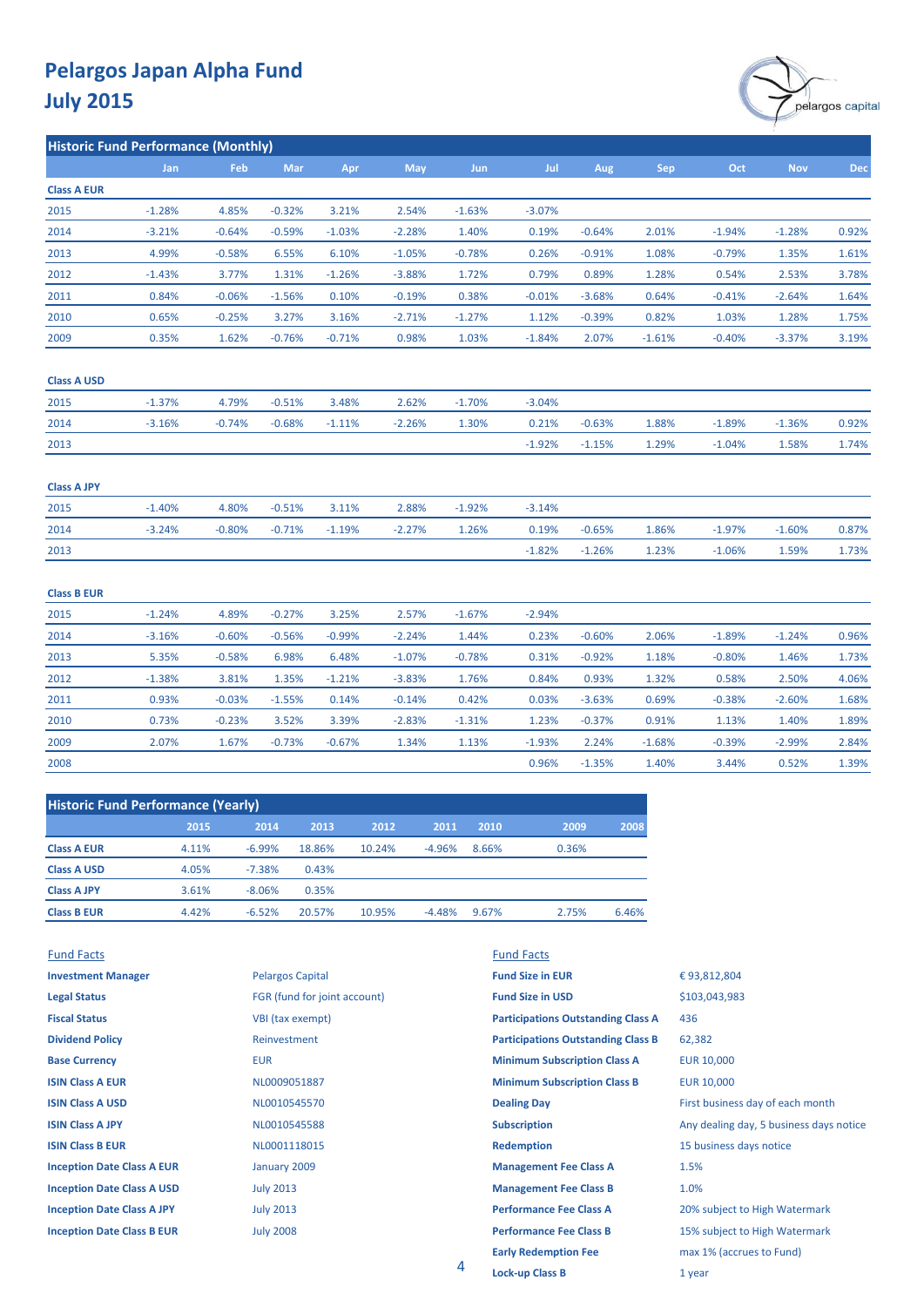

**Historic Fund Performance (Monthly)**

|                    | Jan      | Feb      | <b>Mar</b> | Apr      | May      | <b>Jun</b> | Jul      | Aug      | <b>Sep</b> | Oct      | <b>Nov</b> | <b>Dec</b> |
|--------------------|----------|----------|------------|----------|----------|------------|----------|----------|------------|----------|------------|------------|
| <b>Class A EUR</b> |          |          |            |          |          |            |          |          |            |          |            |            |
| 2015               | $-1.28%$ | 4.85%    | $-0.32%$   | 3.21%    | 2.54%    | $-1.63%$   | $-3.07%$ |          |            |          |            |            |
| 2014               | $-3.21%$ | $-0.64%$ | $-0.59%$   | $-1.03%$ | $-2.28%$ | 1.40%      | 0.19%    | $-0.64%$ | 2.01%      | $-1.94%$ | $-1.28%$   | 0.92%      |
| 2013               | 4.99%    | $-0.58%$ | 6.55%      | 6.10%    | $-1.05%$ | $-0.78%$   | 0.26%    | $-0.91%$ | 1.08%      | $-0.79%$ | 1.35%      | 1.61%      |
| 2012               | $-1.43%$ | 3.77%    | 1.31%      | $-1.26%$ | $-3.88%$ | 1.72%      | 0.79%    | 0.89%    | 1.28%      | 0.54%    | 2.53%      | 3.78%      |
| 2011               | 0.84%    | $-0.06%$ | $-1.56%$   | 0.10%    | $-0.19%$ | 0.38%      | $-0.01%$ | $-3.68%$ | 0.64%      | $-0.41%$ | $-2.64%$   | 1.64%      |
| 2010               | 0.65%    | $-0.25%$ | 3.27%      | 3.16%    | $-2.71%$ | $-1.27%$   | 1.12%    | $-0.39%$ | 0.82%      | 1.03%    | 1.28%      | 1.75%      |
| 2009               | 0.35%    | 1.62%    | $-0.76%$   | $-0.71%$ | 0.98%    | 1.03%      | $-1.84%$ | 2.07%    | $-1.61%$   | $-0.40%$ | $-3.37%$   | 3.19%      |

#### **Class A USD**

| 2015 | $-1.37%$ | 4.79%  | $-0.51%$ | 3.48%               | 2.62%  | -1.70% | $-3.04\%$ |                     |       |           |        |          |
|------|----------|--------|----------|---------------------|--------|--------|-----------|---------------------|-------|-----------|--------|----------|
| 2014 | $-3.16%$ | -0.74% |          | $-0.68\%$ $-1.11\%$ | -2.26% | 1.30%  | 0.21%     | -0.63%              | 1.88% | $-1.89\%$ | -1.36% | $0.92\%$ |
| 2013 |          |        |          |                     |        |        |           | $-1.92\%$ $-1.15\%$ | 1.29% | $-1.04\%$ | 1.58%  | 1.74%    |

| <b>Class A JPY</b>                                 |          |          |           |          |          |           |          |          |       |           |          |       |
|----------------------------------------------------|----------|----------|-----------|----------|----------|-----------|----------|----------|-------|-----------|----------|-------|
| 2015<br><b>Contract Contract Contract Contract</b> | $-1.40%$ | 4.80%    | $-0.51\%$ | 3.11%    | 2.88%    | $-1.92\%$ | $-3.14%$ |          |       |           |          |       |
| 2014<br><b>Contract Contract Contract</b>          | $-3.24%$ | $-0.80%$ | $-0.71\%$ | $-1.19%$ | $-2.27%$ | 1.26%     | 0.19%    | $-0.65%$ | 1.86% | $-1.97%$  | $-1.60%$ | 0.87% |
| 2013                                               |          |          |           |          |          |           | $-1.82%$ | $-1.26%$ | 1.23% | $-1.06\%$ | 1.59%    | 1.73% |

#### **Class B EUR** 2015 -1.24% 4.89% -0.27% 3.25% 2.57% -1.67% -2.94% 0.84% 0.31% -0.23% 3.52% -1.07% 1.67% -0.14% 0.03% -0.03% -1.55% 0.42% 1.40% -0.78% -0.92% 0.93% -1.38% 3.81% 1.35% -1.21% -3.83% 1.76% 0.84% 0.93% 2008 2010 2009 2.84% 1.40% -1.68% -0.39% 0.96% -1.35% 1.39% -2.83% -1.31% 1.23% -0.37% 0.91% 2.07% 0.73% 2011 2013 5.35% -0.58% 6.98% 6.48% 2012 3.81% -0.56% 1.35% -1.21% -3.83% -2.99% 0.52% -0.73% -0.67% 1.34% -1.93% 2.24% 1.13% 3.44% 2.06% -1.89% -1.24% 0.96% 2.50% 1.32% 0.58% 4.06% 1.18% -0.80% 2014 -3.16% -0.60% 1.68% 1.89% 0.69% -0.38% -2.60% 1.76% -0.99% -2.24% 1.44% 0.23% -0.60% 0.14% -3.63% 1.46% 1.73% 3.39% -2.83% -1.31% 1.23% -0.37% 0.91% 1.13%

| <b>Historic Fund Performance (Yearly)</b> |       |          |        |        |          |       |       |       |
|-------------------------------------------|-------|----------|--------|--------|----------|-------|-------|-------|
|                                           | 2015  | 2014     | 2013   | 2012   | 2011     | 2010  | 2009  | 2008  |
| <b>Class A EUR</b>                        | 4.11% | $-6.99%$ | 18.86% | 10.24% | $-4.96%$ | 8.66% | 0.36% |       |
| <b>Class A USD</b>                        | 4.05% | $-7.38%$ | 0.43%  |        |          |       |       |       |
| <b>Class A JPY</b>                        | 3.61% | $-8.06%$ | 0.35%  |        |          |       |       |       |
| <b>Class B EUR</b>                        | 4.42% | $-6.52%$ | 20.57% | 10.95% | $-4.48%$ | 9.67% | 2.75% | 6.46% |

| <b>Fund Facts</b>                 |                              | <b>Fund Facts</b>                         |                                         |
|-----------------------------------|------------------------------|-------------------------------------------|-----------------------------------------|
| <b>Investment Manager</b>         | <b>Pelargos Capital</b>      | <b>Fund Size in EUR</b>                   | €93,812,804                             |
| <b>Legal Status</b>               | FGR (fund for joint account) | <b>Fund Size in USD</b>                   | \$103,043,983                           |
| <b>Fiscal Status</b>              | VBI (tax exempt)             | <b>Participations Outstanding Class A</b> | 436                                     |
| <b>Dividend Policy</b>            | Reinvestment                 | <b>Participations Outstanding Class B</b> | 62,382                                  |
| <b>Base Currency</b>              | <b>EUR</b>                   | <b>Minimum Subscription Class A</b>       | EUR 10,000                              |
| <b>ISIN Class A EUR</b>           | NL0009051887                 | <b>Minimum Subscription Class B</b>       | EUR 10,000                              |
| <b>ISIN Class A USD</b>           | NL0010545570                 | <b>Dealing Day</b>                        | First business day of each month        |
| <b>ISIN Class A JPY</b>           | NL0010545588                 | <b>Subscription</b>                       | Any dealing day, 5 business days notice |
| <b>ISIN Class B EUR</b>           | NL0001118015                 | <b>Redemption</b>                         | 15 business days notice                 |
| <b>Inception Date Class A EUR</b> | January 2009                 | <b>Management Fee Class A</b>             | 1.5%                                    |
| <b>Inception Date Class A USD</b> | <b>July 2013</b>             | <b>Management Fee Class B</b>             | 1.0%                                    |
| <b>Inception Date Class A JPY</b> | <b>July 2013</b>             | <b>Performance Fee Class A</b>            | 20% subject to High Watermark           |
| <b>Inception Date Class B EUR</b> | <b>July 2008</b>             | <b>Performance Fee Class B</b>            | 15% subject to High Watermark           |
|                                   |                              | <b>Early Redemption Fee</b>               | max 1% (accrues to Fund)                |
|                                   | 4                            | tia ale con Olava Di                      | 1.1000                                  |

**Lock-up Class B** 1 year